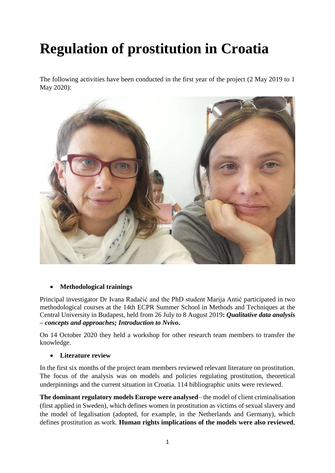# **Regulation of prostitution in Croatia**

The following activities have been conducted in the first year of the project (2 May 2019 to 1 May 2020):



## **Methodological trainings**

Principal investigator Dr Ivana Radačić and the PhD student Marija Antić participated in two methodological courses at the 14th ECPR Summer School in Methods and Techniques at the Central University in Budapest, held from 26 July to 8 August 2019**:** *Qualitative data analysis – concepts and approaches; Introduction to Nvivo***.**

On 14 October 2020 they held a workshop for other research team members to transfer the knowledge.

## **Literature review**

In the first six months of the project team members reviewed relevant literature on prostitution. The focus of the analysis was on models and policies regulating prostitution, theoretical underpinnings and the current situation in Croatia. 114 bibliographic units were reviewed.

**The dominant regulatory models Europe were analysed**– the model of client criminalisation (first applied in Sweden), which defines women in prostitution as victims of sexual slavery and the model of legalisation (adopted, for example, in the Netherlands and Germany), which defines prostitution as work. **Human rights implications of the models were also reviewed**,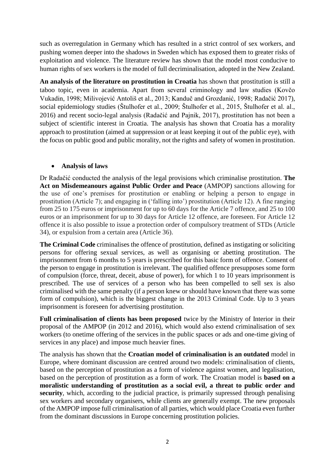such as overregulation in Germany which has resulted in a strict control of sex workers, and pushing women deeper into the shadows in Sweden which has exposed them to greater risks of exploitation and violence. The literature review has shown that the model most conducive to human rights of sex workers is the model of full decriminalisation, adopted in the New Zealand.

**An analysis of the literature on prostitution in Croatia** has shown that prostitution is still a taboo topic, even in academia. Apart from several criminology and law studies (Kovčo Vukadin, 1998; Milivojević Antoliš et al., 2013; Kanduč and Grozdanić, 1998; Radačić 2017), social epidemiology studies (Štulhofer et al., 2009; Štulhofer et al., 2015, Štulhofer et al. al., 2016) and recent socio-legal analysis (Radačić and Pajnik, 2017), prostitution has not been a subject of scientific interest in Croatia. The analysis has shown that Croatia has a morality approach to prostitution (aimed at suppression or at least keeping it out of the public eye), with the focus on public good and public morality, not the rights and safety of women in prostitution.

## **Analysis of laws**

Dr Radačić conducted the analysis of the legal provisions which criminalise prostitution. **The Act on Misdemeanours against Public Order and Peace** (AMPOP) sanctions allowing for the use of one's premises for prostitution or enabling or helping a person to engage in prostitution (Article 7); and engaging in ('falling into') prostitution (Article 12). A fine ranging from 25 to 175 euros or imprisonment for up to 60 days for the Article 7 offence, and 25 to 100 euros or an imprisonment for up to 30 days for Article 12 offence, are foreseen. For Article 12 offence it is also possible to issue a protection order of compulsory treatment of STDs (Article 34), or expulsion from a certain area (Article 36).

**The Criminal Code** criminalises the offence of prostitution, defined as instigating or soliciting persons for offering sexual services, as well as organising or abetting prostitution. The imprisonment from 6 months to 5 years is prescribed for this basic form of offence. Consent of the person to engage in prostitution is irrelevant. The qualified offence presupposes some form of compulsion (force, threat, deceit, abuse of power), for which 1 to 10 years imprisonment is prescribed. The use of services of a person who has been compelled to sell sex is also criminalised with the same penalty (if a person knew or should have known that there was some form of compulsion), which is the biggest change in the 2013 Criminal Code. Up to 3 years imprisonment is foreseen for advertising prostitution.

**Full criminalisation of clients has been proposed** twice by the Ministry of Interior in their proposal of the AMPOP (in 2012 and 2016), which would also extend criminalisation of sex workers (to onetime offering of the services in the public spaces or ads and one-time giving of services in any place) and impose much heavier fines.

The analysis has shown that the **Croatian model of criminalisation is an outdated** model in Europe, where dominant discussion are centred around two models: criminalisation of clients, based on the perception of prostitution as a form of violence against women, and legalisation, based on the perception of prostitution as a form of work. The Croatian model is **based on a moralistic understanding of prostitution as a social evil, a threat to public order and security**, which, according to the judicial practice, is primarily supressed through penalising sex workers and secondary organisers, while clients are generally exempt. The new proposals of the AMPOP impose full criminalisation of all parties, which would place Croatia even further from the dominant discussions in Europe concerning prostitution policies.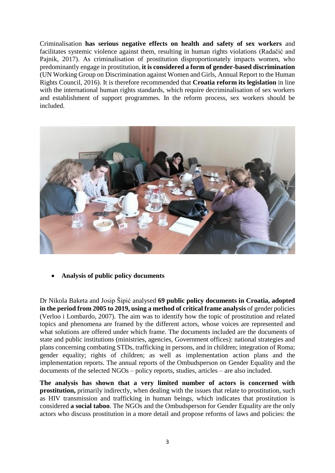Criminalisation **has serious negative effects on health and safety of sex workers** and facilitates systemic violence against them, resulting in human rights violations (Radačić and Pajnik, 2017). As criminalisation of prostitution disproportionately impacts women, who predominantly engage in prostitution, **it is considered a form of gender-based discrimination** (UN Working Group on Discrimination against Women and Girls, Annual Report to the Human Rights Council, 2016). It is therefore recommended that **Croatia reform its legislation** in line with the international human rights standards, which require decriminalisation of sex workers and establishment of support programmes. In the reform process, sex workers should be included.



**Analysis of public policy documents**

Dr Nikola Baketa and Josip Šipić analysed **69 public policy documents in Croatia, adopted in the period from 2005 to 2019, using a method of critical frame analysis** of gender policies (Verloo i Lombardo, 2007). The aim was to identify how the topic of prostitution and related topics and phenomena are framed by the different actors, whose voices are represented and what solutions are offered under which frame. The documents included are the documents of state and public institutions (ministries, agencies, Government offices): national strategies and plans concerning combating STDs, trafficking in persons, and in children; integration of Roma; gender equality; rights of children; as well as implementation action plans and the implementation reports. The annual reports of the Ombudsperson on Gender Equality and the documents of the selected NGOs – policy reports, studies, articles – are also included.

**The analysis has shown that a very limited number of actors is concerned with prostitution,** primarily indirectly, when dealing with the issues that relate to prostitution, such as HIV transmission and trafficking in human beings, which indicates that prostitution is considered **a social taboo**. The NGOs and the Ombudsperson for Gender Equality are the only actors who discuss prostitution in a more detail and propose reforms of laws and policies: the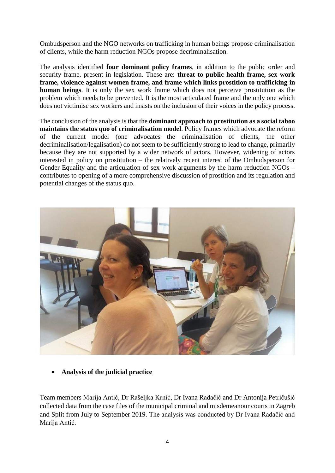Ombudsperson and the NGO networks on trafficking in human beings propose criminalisation of clients, while the harm reduction NGOs propose decriminalisation.

The analysis identified **four dominant policy frames**, in addition to the public order and security frame, present in legislation. These are: **threat to public health frame, sex work frame, violence against women frame, and frame which links prostition to trafficking in human beings**. It is only the sex work frame which does not perceive prostitution as the problem which needs to be prevented. It is the most articulated frame and the only one which does not victimise sex workers and insists on the inclusion of their voices in the policy process.

The conclusion of the analysis is that the **dominant approach to prostitution as a social taboo maintains the status quo of criminalisation model**. Policy frames which advocate the reform of the current model (one advocates the criminalisation of clients, the other decriminalisation/legalisation) do not seem to be sufficiently strong to lead to change, primarily because they are not supported by a wider network of actors. However, widening of actors interested in policy on prostitution – the relatively recent interest of the Ombudsperson for Gender Equality and the articulation of sex work arguments by the harm reduction NGOs – contributes to opening of a more comprehensive discussion of prostition and its regulation and potential changes of the status quo.



**Analysis of the judicial practice**

Team members Marija Antić, Dr Rašeljka Krnić, Dr Ivana Radačić and Dr Antonija Petričušić collected data from the case files of the municipal criminal and misdemeanour courts in Zagreb and Split from July to September 2019. The analysis was conducted by Dr Ivana Radačić and Marija Antić.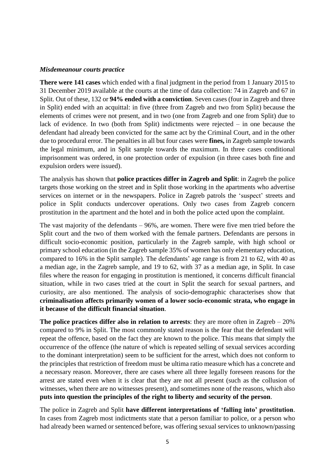#### *Misdemeanour courts practice*

**There were 141 cases** which ended with a final judgment in the period from 1 January 2015 to 31 December 2019 available at the courts at the time of data collection: 74 in Zagreb and 67 in Split. Out of these, 132 or **94% ended with a conviction**. Seven cases (four in Zagreb and three in Split) ended with an acquittal: in five (three from Zagreb and two from Split) because the elements of crimes were not present, and in two (one from Zagreb and one from Split) due to lack of evidence. In two (both from Split) indictments were rejected – in one because the defendant had already been convicted for the same act by the Criminal Court, and in the other due to procedural error. The penalties in all but four cases were **fines,** in Zagreb sample towards the legal minimum, and in Split sample towards the maximum. In three cases conditional imprisonment was ordered, in one protection order of expulsion (in three cases both fine and expulsion orders were issued).

The analysis has shown that **police practices differ in Zagreb and Split**: in Zagreb the police targets those working on the street and in Split those working in the apartments who advertise services on internet or in the newspapers. Police in Zagreb patrols the 'suspect' streets and police in Split conducts undercover operations. Only two cases from Zagreb concern prostitution in the apartment and the hotel and in both the police acted upon the complaint.

The vast majority of the defendants – 96%, are women. There were five men tried before the Split court and the two of them worked with the female partners. Defendants are persons in difficult socio-economic position, particularly in the Zagreb sample, with high school or primary school education (in the Zagreb sample 35% of women has only elementary education, compared to 16% in the Split sample). The defendants' age range is from 21 to 62, with 40 as a median age, in the Zagreb sample, and 19 to 62, with 37 as a median age, in Split. In case files where the reason for engaging in prostitution is mentioned, it concerns difficult financial situation, while in two cases tried at the court in Split the search for sexual partners, and curiosity, are also mentioned. The analysis of socio-demographic characterises show that **criminalisation affects primarily women of a lower socio-economic strata, who engage in it because of the difficult financial situation**.

**The police practices differ also in relation to arrests**: they are more often in Zagreb – 20% compared to 9% in Split. The most commonly stated reason is the fear that the defendant will repeat the offence, based on the fact they are known to the police. This means that simply the occurrence of the offence (the nature of which is repeated selling of sexual services according to the dominant interpretation) seem to be sufficient for the arrest, which does not conform to the principles that restriction of freedom must be ultima ratio measure which has a concrete and a necessary reason. Moreover, there are cases where all three legally foreseen reasons for the arrest are stated even when it is clear that they are not all present (such as the collusion of witnesses, when there are no witnesses present), and sometimes none of the reasons, which also **puts into question the principles of the right to liberty and security of the person**.

The police in Zagreb and Split **have different interpretations of 'falling into' prostitution**. In cases from Zagreb most indictments state that a person familiar to police, or a person who had already been warned or sentenced before, was offering sexual services to unknown/passing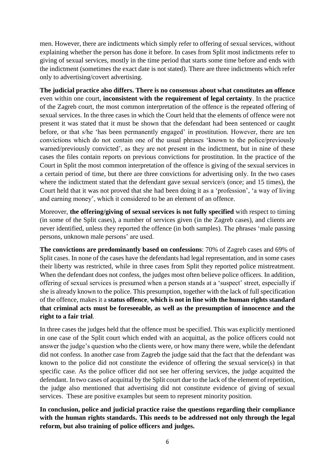men. However, there are indictments which simply refer to offering of sexual services, without explaining whether the person has done it before. In cases from Split most indictments refer to giving of sexual services, mostly in the time period that starts some time before and ends with the indictment (sometimes the exact date is not stated). There are three indictments which refer only to advertising/covert advertising.

**The judicial practice also differs. There is no consensus about what constitutes an offence** even within one court, **inconsistent with the requirement of legal certainty**. In the practice of the Zagreb court, the most common interpretation of the offence is the repeated offering of sexual services. In the three cases in which the Court held that the elements of offence were not present it was stated that it must be shown that the defendant had been sentenced or caught before, or that s/he 'has been permanently engaged' in prostitution. However, there are ten convictions which do not contain one of the usual phrases 'known to the police/previously warned/previously convicted', as they are not present in the indictment, but in nine of these cases the files contain reports on previous convictions for prostitution. In the practice of the Court in Split the most common interpretation of the offence is giving of the sexual services in a certain period of time, but there are three convictions for advertising only. In the two cases where the indictment stated that the defendant gave sexual service/s (once; and 15 times), the Court held that it was not proved that she had been doing it as a 'profession', 'a way of living and earning money', which it considered to be an element of an offence.

Moreover, **the offering/giving of sexual services is not fully specified** with respect to timing (in some of the Split cases), a number of services given (in the Zagreb cases), and clients are never identified, unless they reported the offence (in both samples). The phrases 'male passing persons, unknown male persons' are used.

**The convictions are predominantly based on confessions**: 70% of Zagreb cases and 69% of Split cases. In none of the cases have the defendants had legal representation, and in some cases their liberty was restricted, while in three cases from Split they reported police mistreatment. When the defendant does not confess, the judges most often believe police officers. In addition, offering of sexual services is presumed when a person stands at a 'suspect' street, especially if she is already known to the police. This presumption, together with the lack of full specification of the offence, makes it a **status offence**, **which is not in line with the human rights standard that criminal acts must be foreseeable, as well as the presumption of innocence and the right to a fair trial**.

In three cases the judges held that the offence must be specified. This was explicitly mentioned in one case of the Split court which ended with an acquittal, as the police officers could not answer the judge's question who the clients were, or how many there were, while the defendant did not confess. In another case from Zagreb the judge said that the fact that the defendant was known to the police did not constitute the evidence of offering the sexual service(s) in that specific case. As the police officer did not see her offering services, the judge acquitted the defendant. In two cases of acquittal by the Split court due to the lack of the element of repetition, the judge also mentioned that advertising did not constitute evidence of giving of sexual services. These are positive examples but seem to represent minority position.

**In conclusion, police and judicial practice raise the questions regarding their compliance with the human rights standards. This needs to be addressed not only through the legal reform, but also training of police officers and judges.**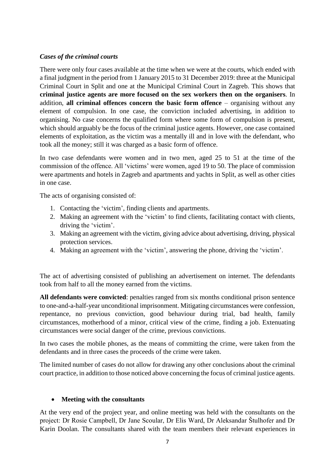## *Cases of the criminal courts*

There were only four cases available at the time when we were at the courts, which ended with a final judgment in the period from 1 January 2015 to 31 December 2019: three at the Municipal Criminal Court in Split and one at the Municipal Criminal Court in Zagreb. This shows that **criminal justice agents are more focused on the sex workers then on the organisers**. In addition, **all criminal offences concern the basic form offence** – organising without any element of compulsion. In one case, the conviction included advertising, in addition to organising. No case concerns the qualified form where some form of compulsion is present, which should arguably be the focus of the criminal justice agents. However, one case contained elements of exploitation, as the victim was a mentally ill and in love with the defendant, who took all the money; still it was charged as a basic form of offence.

In two case defendants were women and in two men, aged 25 to 51 at the time of the commission of the offence. All 'victims' were women, aged 19 to 50. The place of commission were apartments and hotels in Zagreb and apartments and yachts in Split, as well as other cities in one case.

The acts of organising consisted of:

- 1. Contacting the 'victim', finding clients and apartments.
- 2. Making an agreement with the 'victim' to find clients, facilitating contact with clients, driving the 'victim'.
- 3. Making an agreement with the victim, giving advice about advertising, driving, physical protection services.
- 4. Making an agreement with the 'victim', answering the phone, driving the 'victim'.

The act of advertising consisted of publishing an advertisement on internet. The defendants took from half to all the money earned from the victims.

**All defendants were convicted**: penalties ranged from six months conditional prison sentence to one-and-a-half-year unconditional imprisonment. Mitigating circumstances were confession, repentance, no previous conviction, good behaviour during trial, bad health, family circumstances, motherhood of a minor, critical view of the crime, finding a job. Extenuating circumstances were social danger of the crime, previous convictions.

In two cases the mobile phones, as the means of committing the crime, were taken from the defendants and in three cases the proceeds of the crime were taken.

The limited number of cases do not allow for drawing any other conclusions about the criminal court practice, in addition to those noticed above concerning the focus of criminal justice agents.

#### **Meeting with the consultants**

At the very end of the project year, and online meeting was held with the consultants on the project: Dr Rosie Campbell, Dr Jane Scoular, Dr Elis Ward, Dr Aleksandar Štulhofer and Dr Karin Doolan. The consultants shared with the team members their relevant experiences in